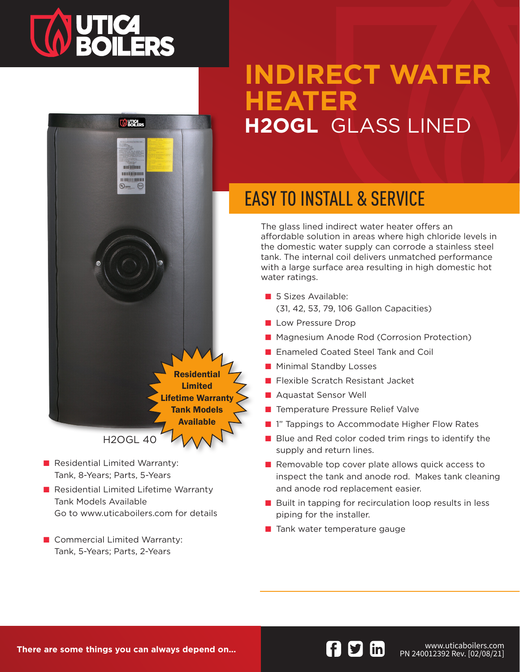# **TA UTICA<br>SOILERS**



- Residential Limited Warranty: Tank, 8-Years; Parts, 5-Years
- Residential Limited Lifetime Warranty Tank Models Available Go to www.uticaboilers.com for details
- Commercial Limited Warranty: Tank, 5-Years; Parts, 2-Years

## **INDIRECT WATER HEATER H2OGL** GLASS LINED

## EASY TO INSTALL & SERVICE

The glass lined indirect water heater offers an affordable solution in areas where high chloride levels in the domestic water supply can corrode a stainless steel tank. The internal coil delivers unmatched performance with a large surface area resulting in high domestic hot water ratings.

- 5 Sizes Available: (31, 42, 53, 79, 106 Gallon Capacities)
- Low Pressure Drop
- Magnesium Anode Rod (Corrosion Protection)
- Enameled Coated Steel Tank and Coil
- Minimal Standby Losses
- Flexible Scratch Resistant Jacket
- Aquastat Sensor Well
- Temperature Pressure Relief Valve
- 1" Tappings to Accommodate Higher Flow Rates
- Blue and Red color coded trim rings to identify the supply and return lines.
- Removable top cover plate allows quick access to inspect the tank and anode rod. Makes tank cleaning and anode rod replacement easier.
- Built in tapping for recirculation loop results in less piping for the installer.
- Tank water temperature gauge